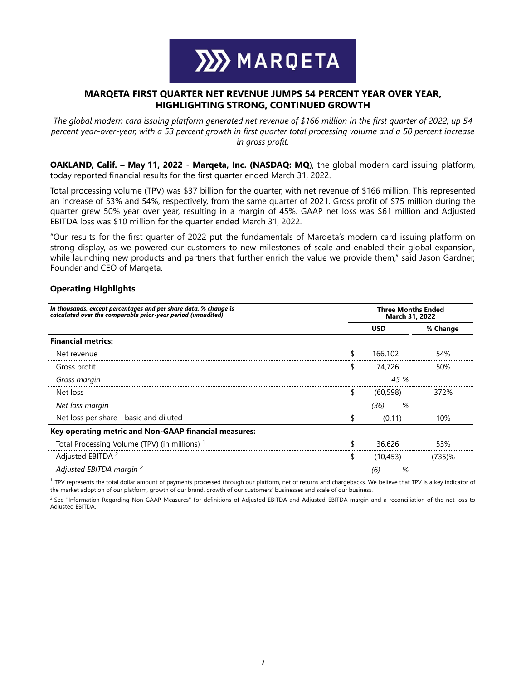

# **MARQETA FIRST QUARTER NET REVENUE JUMPS 54 PERCENT YEAR OVER YEAR, HIGHLIGHTING STRONG, CONTINUED GROWTH**

*The global modern card issuing platform generated net revenue of \$166 million in the first quarter of 2022, up 54 percent year-over-year, with a 53 percent growth in first quarter total processing volume and a 50 percent increase in gross profit.* 

**OAKLAND, Calif. – May 11, 2022** - **Marqeta, Inc. (NASDAQ: MQ**), the global modern card issuing platform, today reported financial results for the first quarter ended March 31, 2022.

Total processing volume (TPV) was \$37 billion for the quarter, with net revenue of \$166 million. This represented an increase of 53% and 54%, respectively, from the same quarter of 2021. Gross profit of \$75 million during the quarter grew 50% year over year, resulting in a margin of 45%. GAAP net loss was \$61 million and Adjusted EBITDA loss was \$10 million for the quarter ended March 31, 2022.

"Our results for the first quarter of 2022 put the fundamentals of Marqeta's modern card issuing platform on strong display, as we powered our customers to new milestones of scale and enabled their global expansion, while launching new products and partners that further enrich the value we provide them," said Jason Gardner, Founder and CEO of Marqeta.

## **Operating Highlights**

| In thousands, except percentages and per share data. % change is<br>calculated over the comparable prior-year period (unaudited) |    | <b>Three Months Ended</b><br>March 31, 2022 |           |  |  |  |  |
|----------------------------------------------------------------------------------------------------------------------------------|----|---------------------------------------------|-----------|--|--|--|--|
|                                                                                                                                  |    | <b>USD</b><br>% Change                      |           |  |  |  |  |
| <b>Financial metrics:</b>                                                                                                        |    |                                             |           |  |  |  |  |
| Net revenue                                                                                                                      |    | 166,102                                     | 54%       |  |  |  |  |
| Gross profit                                                                                                                     | ¢  | 74,726                                      | 50%       |  |  |  |  |
| Gross margin                                                                                                                     |    | 45 %                                        |           |  |  |  |  |
| Net loss                                                                                                                         | \$ | (60.598)                                    | 372%      |  |  |  |  |
| Net loss margin                                                                                                                  |    | %<br>(36)                                   |           |  |  |  |  |
| Net loss per share - basic and diluted                                                                                           |    | (0.11)                                      | 10%       |  |  |  |  |
| Key operating metric and Non-GAAP financial measures:                                                                            |    |                                             |           |  |  |  |  |
| Total Processing Volume (TPV) (in millions) 1                                                                                    |    | 36,626                                      | 53%       |  |  |  |  |
| Adjusted EBITDA <sup>2</sup>                                                                                                     | S  | (10, 453)                                   | $(735)$ % |  |  |  |  |
| Adjusted EBITDA margin <sup>2</sup>                                                                                              |    | %<br>(6)                                    |           |  |  |  |  |

 $1$  TPV represents the total dollar amount of payments processed through our platform, net of returns and chargebacks. We believe that TPV is a key indicator of the market adoption of our platform, growth of our brand, growth of our customers' businesses and scale of our business.

<sup>2</sup> See "Information Regarding Non-GAAP Measures" for definitions of Adjusted EBITDA and Adjusted EBITDA margin and a reconciliation of the net loss to Adjusted EBITDA.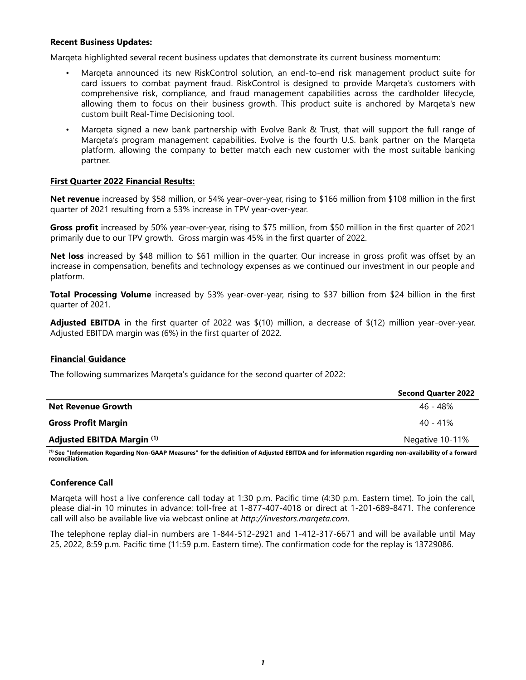## **Recent Business Updates:**

Marqeta highlighted several recent business updates that demonstrate its current business momentum:

- Marqeta announced its new RiskControl solution, an end-to-end risk management product suite for card issuers to combat payment fraud. RiskControl is designed to provide Marqeta's customers with comprehensive risk, compliance, and fraud management capabilities across the cardholder lifecycle, allowing them to focus on their business growth. This product suite is anchored by Marqeta's new custom built Real-Time Decisioning tool.
- Marqeta signed a new bank partnership with Evolve Bank & Trust, that will support the full range of Marqeta's program management capabilities. Evolve is the fourth U.S. bank partner on the Marqeta platform, allowing the company to better match each new customer with the most suitable banking partner.

## **First Quarter 2022 Financial Results:**

**Net revenue** increased by \$58 million, or 54% year-over-year, rising to \$166 million from \$108 million in the first quarter of 2021 resulting from a 53% increase in TPV year-over-year.

**Gross profit** increased by 50% year-over-year, rising to \$75 million, from \$50 million in the first quarter of 2021 primarily due to our TPV growth. Gross margin was 45% in the first quarter of 2022.

**Net loss** increased by \$48 million to \$61 million in the quarter. Our increase in gross profit was offset by an increase in compensation, benefits and technology expenses as we continued our investment in our people and platform.

**Total Processing Volume** increased by 53% year-over-year, rising to \$37 billion from \$24 billion in the first quarter of 2021.

**Adjusted EBITDA** in the first quarter of 2022 was \$(10) million, a decrease of \$(12) million year-over-year. Adjusted EBITDA margin was (6%) in the first quarter of 2022.

## **Financial Guidance**

The following summarizes Marqeta's guidance for the second quarter of 2022:

|                            | <b>Second Quarter 2022</b> |
|----------------------------|----------------------------|
| <b>Net Revenue Growth</b>  | 46 - 48%                   |
| <b>Gross Profit Margin</b> | $40 - 41\%$                |
| Adjusted EBITDA Margin (1) | Negative 10-11%            |

**(1) See "Information Regarding Non-GAAP Measures" for the definition of Adjusted EBITDA and for information regarding non-availability of a forward reconciliation.** 

# **Conference Call**

Marqeta will host a live conference call today at 1:30 p.m. Pacific time (4:30 p.m. Eastern time). To join the call, please dial-in 10 minutes in advance: toll-free at 1-877-407-4018 or direct at 1-201-689-8471. The conference call will also be available live via webcast online at *http://investors.marqeta.com*.

The telephone replay dial-in numbers are 1-844-512-2921 and 1-412-317-6671 and will be available until May 25, 2022, 8:59 p.m. Pacific time (11:59 p.m. Eastern time). The confirmation code for the replay is 13729086.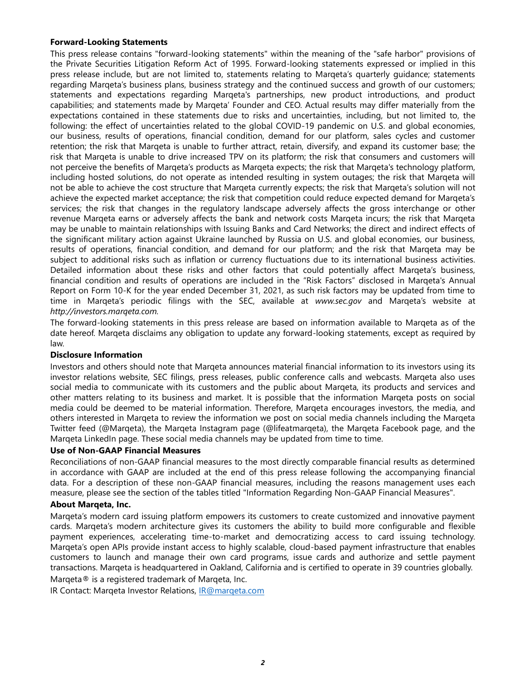## **Forward-Looking Statements**

This press release contains "forward-looking statements" within the meaning of the "safe harbor" provisions of the Private Securities Litigation Reform Act of 1995. Forward-looking statements expressed or implied in this press release include, but are not limited to, statements relating to Marqeta's quarterly guidance; statements regarding Marqeta's business plans, business strategy and the continued success and growth of our customers; statements and expectations regarding Marqeta's partnerships, new product introductions, and product capabilities; and statements made by Marqeta' Founder and CEO. Actual results may differ materially from the expectations contained in these statements due to risks and uncertainties, including, but not limited to, the following: the effect of uncertainties related to the global COVID-19 pandemic on U.S. and global economies, our business, results of operations, financial condition, demand for our platform, sales cycles and customer retention; the risk that Marqeta is unable to further attract, retain, diversify, and expand its customer base; the risk that Marqeta is unable to drive increased TPV on its platform; the risk that consumers and customers will not perceive the benefits of Marqeta's products as Marqeta expects; the risk that Marqeta's technology platform, including hosted solutions, do not operate as intended resulting in system outages; the risk that Marqeta will not be able to achieve the cost structure that Marqeta currently expects; the risk that Marqeta's solution will not achieve the expected market acceptance; the risk that competition could reduce expected demand for Marqeta's services; the risk that changes in the regulatory landscape adversely affects the gross interchange or other revenue Marqeta earns or adversely affects the bank and network costs Marqeta incurs; the risk that Marqeta may be unable to maintain relationships with Issuing Banks and Card Networks; the direct and indirect effects of the significant military action against Ukraine launched by Russia on U.S. and global economies, our business, results of operations, financial condition, and demand for our platform; and the risk that Marqeta may be subject to additional risks such as inflation or currency fluctuations due to its international business activities. Detailed information about these risks and other factors that could potentially affect Marqeta's business, financial condition and results of operations are included in the "Risk Factors" disclosed in Marqeta's Annual Report on Form 10-K for the year ended December 31, 2021, as such risk factors may be updated from time to time in Marqeta's periodic filings with the SEC, available at *www.sec.gov* and Marqeta's website at *http://investors.marqeta.com.*

The forward-looking statements in this press release are based on information available to Marqeta as of the date hereof. Marqeta disclaims any obligation to update any forward-looking statements, except as required by law*.*

## **Disclosure Information**

Investors and others should note that Marqeta announces material financial information to its investors using its investor relations website, SEC filings, press releases, public conference calls and webcasts. Marqeta also uses social media to communicate with its customers and the public about Marqeta, its products and services and other matters relating to its business and market. It is possible that the information Marqeta posts on social media could be deemed to be material information. Therefore, Marqeta encourages investors, the media, and others interested in Marqeta to review the information we post on social media channels including the Marqeta Twitter feed (@Marqeta), the Marqeta Instagram page (@lifeatmarqeta), the Marqeta Facebook page, and the Marqeta LinkedIn page. These social media channels may be updated from time to time.

## **Use of Non-GAAP Financial Measures**

Reconciliations of non-GAAP financial measures to the most directly comparable financial results as determined in accordance with GAAP are included at the end of this press release following the accompanying financial data. For a description of these non-GAAP financial measures, including the reasons management uses each measure, please see the section of the tables titled "Information Regarding Non-GAAP Financial Measures".

## **About Marqeta, Inc.**

Marqeta's modern card issuing platform empowers its customers to create customized and innovative payment cards. Marqeta's modern architecture gives its customers the ability to build more configurable and flexible payment experiences, accelerating time-to-market and democratizing access to card issuing technology. Marqeta's open APIs provide instant access to highly scalable, cloud-based payment infrastructure that enables customers to launch and manage their own card programs, issue cards and authorize and settle payment transactions. Marqeta is headquartered in Oakland, California and is certified to operate in 39 countries globally.

Marqeta® is a registered trademark of Marqeta, Inc.

IR Contact: Marqeta Investor Relations, IR@marqeta.com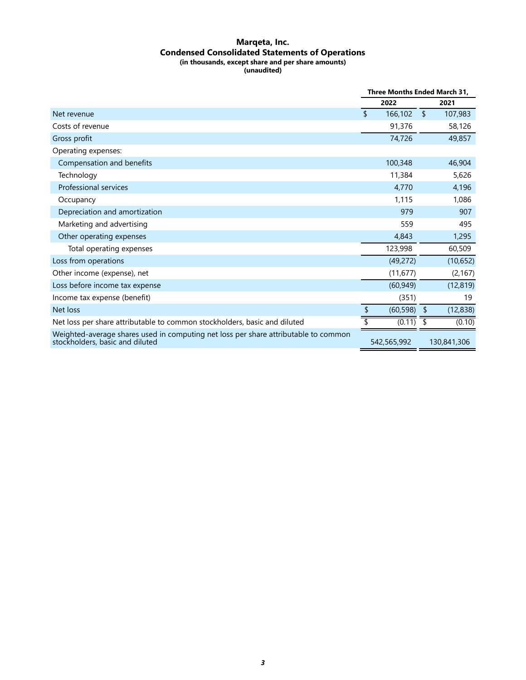#### **Marqeta, Inc. Condensed Consolidated Statements of Operations (in thousands, except share and per share amounts) (unaudited)**

|                                                                                                                        | Three Months Ended March 31, |             |               |             |
|------------------------------------------------------------------------------------------------------------------------|------------------------------|-------------|---------------|-------------|
|                                                                                                                        |                              | 2022        |               | 2021        |
| Net revenue                                                                                                            | $\mathbf{\hat{z}}$           | 166,102     | $\mathsf{\$}$ | 107,983     |
| Costs of revenue                                                                                                       |                              | 91,376      |               | 58,126      |
| Gross profit                                                                                                           |                              | 74,726      |               | 49,857      |
| Operating expenses:                                                                                                    |                              |             |               |             |
| Compensation and benefits                                                                                              |                              | 100,348     |               | 46,904      |
| Technology                                                                                                             |                              | 11,384      |               | 5,626       |
| Professional services                                                                                                  |                              | 4,770       |               | 4,196       |
| Occupancy                                                                                                              |                              | 1,115       |               | 1,086       |
| Depreciation and amortization                                                                                          |                              | 979         |               | 907         |
| Marketing and advertising                                                                                              |                              | 559         |               | 495         |
| Other operating expenses                                                                                               |                              | 4,843       |               | 1,295       |
| Total operating expenses                                                                                               |                              | 123,998     |               | 60,509      |
| Loss from operations                                                                                                   |                              | (49, 272)   |               | (10, 652)   |
| Other income (expense), net                                                                                            |                              | (11, 677)   |               | (2, 167)    |
| Loss before income tax expense                                                                                         |                              | (60, 949)   |               | (12, 819)   |
| Income tax expense (benefit)                                                                                           |                              | (351)       |               | 19          |
| Net loss                                                                                                               | \$                           | (60, 598)   | - \$          | (12, 838)   |
| Net loss per share attributable to common stockholders, basic and diluted                                              |                              | (0.11)      |               | (0.10)      |
| Weighted-average shares used in computing net loss per share attributable to common<br>stockholders, basic and diluted |                              | 542,565,992 |               | 130,841,306 |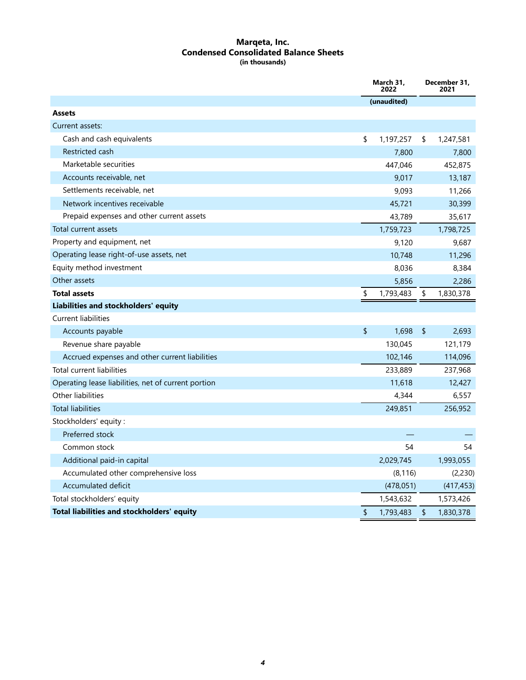#### **Marqeta, Inc. Condensed Consolidated Balance Sheets (in thousands)**

|                                                     | March 31,<br>2022 |             | December 31,<br>2021 |  |
|-----------------------------------------------------|-------------------|-------------|----------------------|--|
|                                                     |                   | (unaudited) |                      |  |
| <b>Assets</b>                                       |                   |             |                      |  |
| Current assets:                                     |                   |             |                      |  |
| Cash and cash equivalents                           | \$                | 1,197,257   | \$<br>1,247,581      |  |
| Restricted cash                                     |                   | 7,800       | 7,800                |  |
| Marketable securities                               |                   | 447,046     | 452,875              |  |
| Accounts receivable, net                            |                   | 9,017       | 13,187               |  |
| Settlements receivable, net                         |                   | 9,093       | 11,266               |  |
| Network incentives receivable                       |                   | 45,721      | 30,399               |  |
| Prepaid expenses and other current assets           |                   | 43,789      | 35,617               |  |
| Total current assets                                |                   | 1,759,723   | 1,798,725            |  |
| Property and equipment, net                         |                   | 9,120       | 9,687                |  |
| Operating lease right-of-use assets, net            |                   | 10,748      | 11,296               |  |
| Equity method investment                            |                   | 8,036       | 8,384                |  |
| Other assets                                        |                   | 5,856       | 2,286                |  |
| <b>Total assets</b>                                 | \$                | 1,793,483   | \$<br>1,830,378      |  |
| Liabilities and stockholders' equity                |                   |             |                      |  |
| <b>Current liabilities</b>                          |                   |             |                      |  |
| Accounts payable                                    | \$                | 1,698       | \$<br>2,693          |  |
| Revenue share payable                               |                   | 130,045     | 121,179              |  |
| Accrued expenses and other current liabilities      |                   | 102,146     | 114,096              |  |
| Total current liabilities                           |                   | 233,889     | 237,968              |  |
| Operating lease liabilities, net of current portion |                   | 11,618      | 12,427               |  |
| Other liabilities                                   |                   | 4,344       | 6,557                |  |
| <b>Total liabilities</b>                            |                   | 249,851     | 256,952              |  |
| Stockholders' equity:                               |                   |             |                      |  |
| Preferred stock                                     |                   |             |                      |  |
| Common stock                                        |                   | 54          | 54                   |  |
| Additional paid-in capital                          |                   | 2,029,745   | 1,993,055            |  |
| Accumulated other comprehensive loss                |                   | (8, 116)    | (2,230)              |  |
| Accumulated deficit                                 |                   | (478, 051)  | (417, 453)           |  |
| Total stockholders' equity                          |                   | 1,543,632   | 1,573,426            |  |
| Total liabilities and stockholders' equity          | \$                | 1,793,483   | \$<br>1,830,378      |  |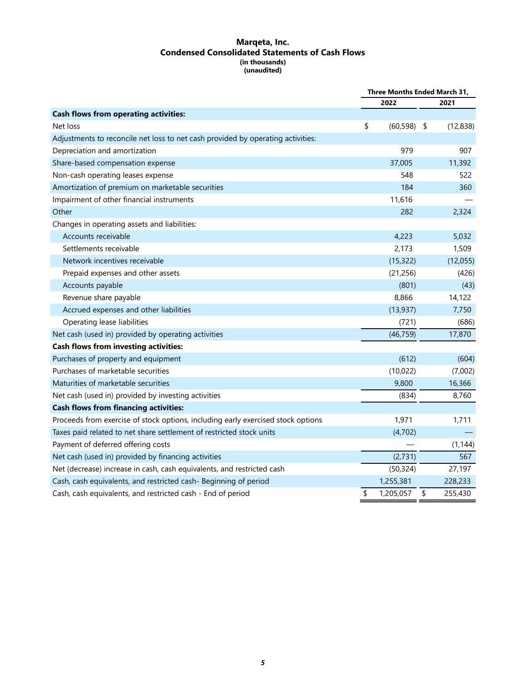#### **Marqeta, Inc. Condensed Consolidated Statements of Cash Flows (in thousands) (unaudited)**

|                                                                                  | Three Months Ended March 31, |                |    |           |
|----------------------------------------------------------------------------------|------------------------------|----------------|----|-----------|
|                                                                                  |                              | 2022           |    | 2021      |
| <b>Cash flows from operating activities:</b>                                     |                              |                |    |           |
| Net loss                                                                         | \$                           | $(60, 598)$ \$ |    | (12, 838) |
| Adjustments to reconcile net loss to net cash provided by operating activities:  |                              |                |    |           |
| Depreciation and amortization                                                    |                              | 979            |    | 907       |
| Share-based compensation expense                                                 |                              | 37,005         |    | 11,392    |
| Non-cash operating leases expense                                                |                              | 548            |    | 522       |
| Amortization of premium on marketable securities                                 |                              | 184            |    | 360       |
| Impairment of other financial instruments                                        |                              | 11,616         |    |           |
| Other                                                                            |                              | 282            |    | 2,324     |
| Changes in operating assets and liabilities:                                     |                              |                |    |           |
| Accounts receivable                                                              |                              | 4,223          |    | 5,032     |
| Settlements receivable                                                           |                              | 2,173          |    | 1,509     |
| Network incentives receivable                                                    |                              | (15, 322)      |    | (12,055)  |
| Prepaid expenses and other assets                                                |                              | (21, 256)      |    | (426)     |
| Accounts payable                                                                 |                              | (801)          |    | (43)      |
| Revenue share payable                                                            |                              | 8,866          |    | 14,122    |
| Accrued expenses and other liabilities                                           |                              | (13, 937)      |    | 7,750     |
| Operating lease liabilities                                                      |                              | (721)          |    | (686)     |
| Net cash (used in) provided by operating activities                              |                              | (46, 759)      |    | 17,870    |
| <b>Cash flows from investing activities:</b>                                     |                              |                |    |           |
| Purchases of property and equipment                                              |                              | (612)          |    | (604)     |
| Purchases of marketable securities                                               |                              | (10, 022)      |    | (7,002)   |
| Maturities of marketable securities                                              |                              | 9,800          |    | 16,366    |
| Net cash (used in) provided by investing activities                              |                              | (834)          |    | 8,760     |
| <b>Cash flows from financing activities:</b>                                     |                              |                |    |           |
| Proceeds from exercise of stock options, including early exercised stock options |                              | 1,971          |    | 1,711     |
| Taxes paid related to net share settlement of restricted stock units             |                              | (4,702)        |    |           |
| Payment of deferred offering costs                                               |                              |                |    | (1, 144)  |
| Net cash (used in) provided by financing activities                              |                              | (2,731)        |    | 567       |
| Net (decrease) increase in cash, cash equivalents, and restricted cash           |                              | (50, 324)      |    | 27,197    |
| Cash, cash equivalents, and restricted cash- Beginning of period                 |                              | 1,255,381      |    | 228,233   |
| Cash, cash equivalents, and restricted cash - End of period                      | \$                           | 1,205,057      | \$ | 255,430   |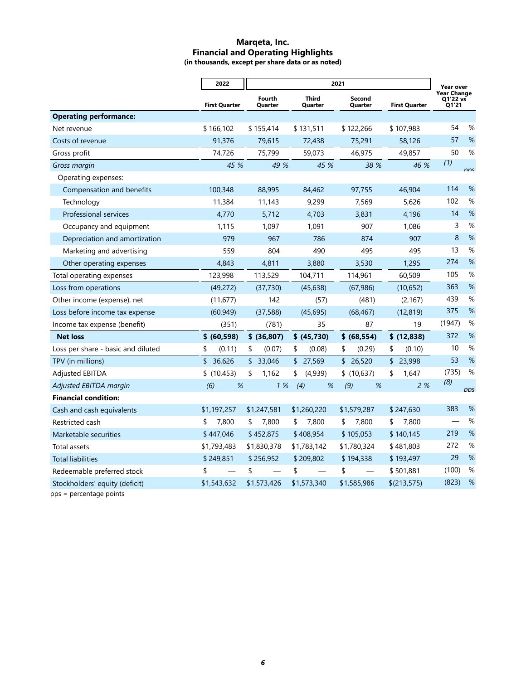#### **Marqeta, Inc. Financial and Operating Highlights (in thousands, except per share data or as noted)**

|                                    | 2022                 | 2021              |                  |                                           |              | Year over                        |      |
|------------------------------------|----------------------|-------------------|------------------|-------------------------------------------|--------------|----------------------------------|------|
|                                    | <b>First Quarter</b> | Fourth<br>Quarter | Third<br>Quarter | Second<br><b>First Quarter</b><br>Quarter |              | Year Change<br>Q1'22 vs<br>01'21 |      |
| <b>Operating performance:</b>      |                      |                   |                  |                                           |              |                                  |      |
| Net revenue                        | \$166,102            | \$155,414         | \$131,511        | \$122,266                                 | \$107,983    | 54                               | %    |
| Costs of revenue                   | 91,376               | 79,615            | 72,438           | 75,291                                    | 58,126       | 57                               | %    |
| Gross profit                       | 74,726               | 75,799            | 59,073           | 46,975                                    | 49,857       | 50                               | %    |
| Gross margin                       | 45 %                 | 49 %              | 45 %             | 38 %                                      | 46 %         | (1)                              | nnc  |
| Operating expenses:                |                      |                   |                  |                                           |              |                                  |      |
| Compensation and benefits          | 100,348              | 88,995            | 84,462           | 97,755                                    | 46,904       | 114                              | %    |
| Technology                         | 11,384               | 11,143            | 9,299            | 7,569                                     | 5,626        | 102                              | %    |
| Professional services              | 4,770                | 5,712             | 4,703            | 3,831                                     | 4,196        | 14                               | %    |
| Occupancy and equipment            | 1,115                | 1,097             | 1,091            | 907                                       | 1,086        | 3                                | %    |
| Depreciation and amortization      | 979                  | 967               | 786              | 874                                       | 907          | 8                                | %    |
| Marketing and advertising          | 559                  | 804               | 490              | 495                                       | 495          | 13                               | %    |
| Other operating expenses           | 4,843                | 4,811             | 3,880            | 3,530                                     | 1,295        | 274                              | %    |
| Total operating expenses           | 123,998              | 113,529           | 104,711          | 114,961                                   | 60,509       | 105                              | %    |
| Loss from operations               | (49, 272)            | (37, 730)         | (45, 638)        | (67, 986)                                 | (10, 652)    | 363                              | %    |
| Other income (expense), net        | (11, 677)            | 142               | (57)             | (481)                                     | (2, 167)     | 439                              | %    |
| Loss before income tax expense     | (60, 949)            | (37,588)          | (45, 695)        | (68, 467)                                 | (12, 819)    | 375                              | %    |
| Income tax expense (benefit)       | (351)                | (781)             | 35               | 87                                        | 19           | (1947)                           | $\%$ |
| <b>Net loss</b>                    | \$ (60, 598)         | \$ (36,807)       | \$ (45,730)      | \$ (68, 554)                              | \$(12,838)   | 372                              | %    |
| Loss per share - basic and diluted | \$<br>(0.11)         | \$<br>(0.07)      | \$<br>(0.08)     | \$<br>(0.29)                              | \$<br>(0.10) | 10                               | %    |
| TPV (in millions)                  | \$36,626             | \$33,046          | \$27,569         | \$26,520                                  | \$23,998     | 53                               | %    |
| <b>Adjusted EBITDA</b>             | \$(10, 453)          | 1,162<br>\$       | (4,939)<br>\$    | \$(10,637)                                | \$<br>1,647  | (735)                            | %    |
| Adjusted EBITDA margin             | %<br>(6)             | 1%                | %<br>(4)         | (9)<br>%                                  | 2%           | (8)                              | nns  |
| <b>Financial condition:</b>        |                      |                   |                  |                                           |              |                                  |      |
| Cash and cash equivalents          | \$1,197,257          | \$1,247,581       | \$1,260,220      | \$1,579,287                               | \$247,630    | 383                              | %    |
| Restricted cash                    | 7,800<br>\$          | 7,800<br>\$       | \$<br>7,800      | 7,800<br>\$                               | \$<br>7,800  |                                  | %    |
| Marketable securities              | \$447,046            | \$452,875         | \$408,954        | \$105,053                                 | \$140,145    | 219                              | %    |
| Total assets                       | \$1,793,483          | \$1,830,378       | \$1,783,142      | \$1,780,324                               | \$481,803    | 272                              | %    |
| <b>Total liabilities</b>           | \$249,851            | \$256,952         | \$209,802        | \$194,338                                 | \$193,497    | 29                               | %    |
| Redeemable preferred stock         | \$                   | \$                | \$               | \$                                        | \$501,881    | (100)                            | %    |
| Stockholders' equity (deficit)     | \$1,543,632          | \$1,573,426       | \$1,573,340      | \$1,585,986                               | \$(213, 575) | (823)                            | %    |
|                                    |                      |                   |                  |                                           |              |                                  |      |

pps = percentage points